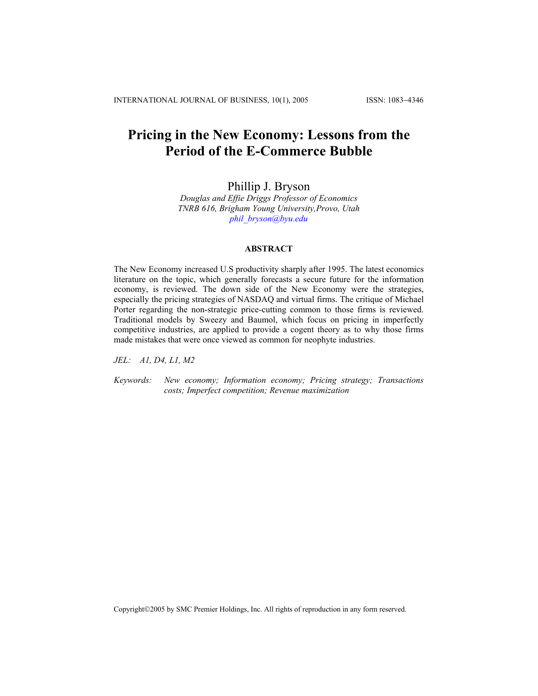# **Pricing in the New Economy: Lessons from the Period of the E-Commerce Bubble**

Phillip J. Bryson

*Douglas and Effie Driggs Professor of Economics TNRB 616, Brigham Young University,Provo, Utah [phil\\_bryson@byu.edu](mailto:phil_bryson@byu.edu)*

## **ABSTRACT**

The New Economy increased U.S productivity sharply after 1995. The latest economics literature on the topic, which generally forecasts a secure future for the information economy, is reviewed. The down side of the New Economy were the strategies, especially the pricing strategies of NASDAQ and virtual firms. The critique of Michael Porter regarding the non-strategic price-cutting common to those firms is reviewed. Traditional models by Sweezy and Baumol, which focus on pricing in imperfectly competitive industries, are applied to provide a cogent theory as to why those firms made mistakes that were once viewed as common for neophyte industries.

*JEL: A1, D4, L1, M2* 

*Keywords: New economy; Information economy; Pricing strategy; Transactions costs; Imperfect competition; Revenue maximization*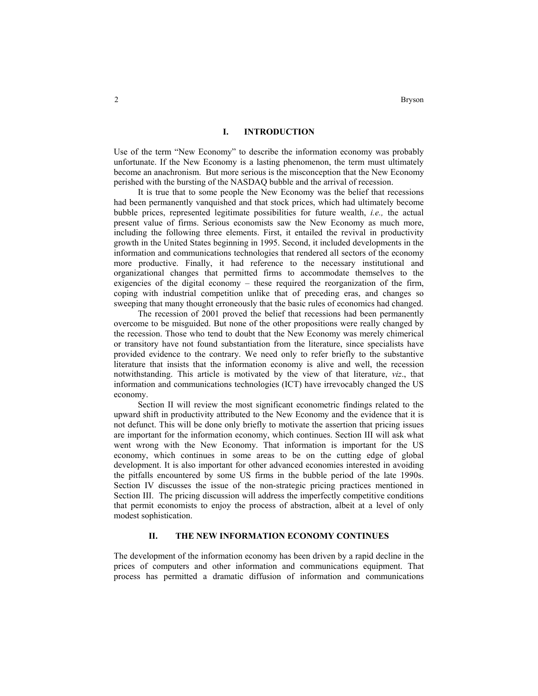## **I. INTRODUCTION**

Use of the term "New Economy" to describe the information economy was probably unfortunate. If the New Economy is a lasting phenomenon, the term must ultimately become an anachronism. But more serious is the misconception that the New Economy perished with the bursting of the NASDAQ bubble and the arrival of recession.

It is true that to some people the New Economy was the belief that recessions had been permanently vanquished and that stock prices, which had ultimately become bubble prices, represented legitimate possibilities for future wealth, *i.e.,* the actual present value of firms. Serious economists saw the New Economy as much more, including the following three elements. First, it entailed the revival in productivity growth in the United States beginning in 1995. Second, it included developments in the information and communications technologies that rendered all sectors of the economy more productive. Finally, it had reference to the necessary institutional and organizational changes that permitted firms to accommodate themselves to the exigencies of the digital economy – these required the reorganization of the firm, coping with industrial competition unlike that of preceding eras, and changes so sweeping that many thought erroneously that the basic rules of economics had changed.

The recession of 2001 proved the belief that recessions had been permanently overcome to be misguided. But none of the other propositions were really changed by the recession. Those who tend to doubt that the New Economy was merely chimerical or transitory have not found substantiation from the literature, since specialists have provided evidence to the contrary. We need only to refer briefly to the substantive literature that insists that the information economy is alive and well, the recession notwithstanding. This article is motivated by the view of that literature, *viz*., that information and communications technologies (ICT) have irrevocably changed the US economy.

Section II will review the most significant econometric findings related to the upward shift in productivity attributed to the New Economy and the evidence that it is not defunct. This will be done only briefly to motivate the assertion that pricing issues are important for the information economy, which continues. Section III will ask what went wrong with the New Economy. That information is important for the US economy, which continues in some areas to be on the cutting edge of global development. It is also important for other advanced economies interested in avoiding the pitfalls encountered by some US firms in the bubble period of the late 1990s. Section IV discusses the issue of the non-strategic pricing practices mentioned in Section III. The pricing discussion will address the imperfectly competitive conditions that permit economists to enjoy the process of abstraction, albeit at a level of only modest sophistication.

## **II. THE NEW INFORMATION ECONOMY CONTINUES**

The development of the information economy has been driven by a rapid decline in the prices of computers and other information and communications equipment. That process has permitted a dramatic diffusion of information and communications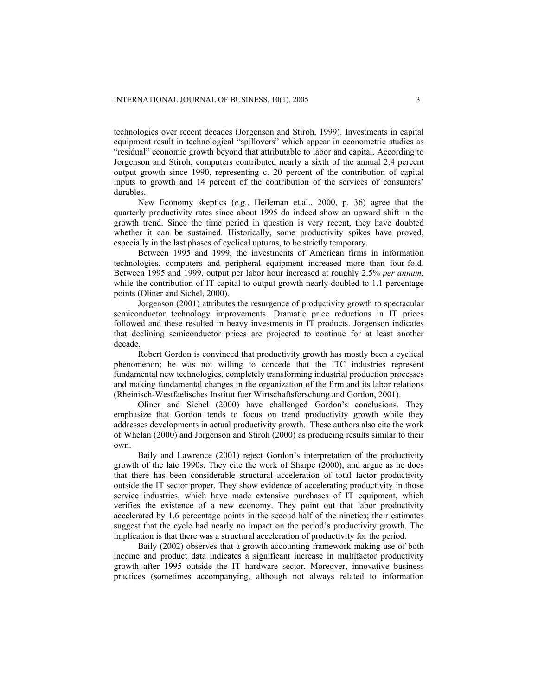technologies over recent decades (Jorgenson and Stiroh, 1999). Investments in capital equipment result in technological "spillovers" which appear in econometric studies as "residual" economic growth beyond that attributable to labor and capital. According to Jorgenson and Stiroh, computers contributed nearly a sixth of the annual 2.4 percent output growth since 1990, representing c. 20 percent of the contribution of capital inputs to growth and 14 percent of the contribution of the services of consumers' durables.

New Economy skeptics (*e.g*., Heileman et.al., 2000, p. 36) agree that the quarterly productivity rates since about 1995 do indeed show an upward shift in the growth trend. Since the time period in question is very recent, they have doubted whether it can be sustained. Historically, some productivity spikes have proved, especially in the last phases of cyclical upturns, to be strictly temporary.

Between 1995 and 1999, the investments of American firms in information technologies, computers and peripheral equipment increased more than four-fold. Between 1995 and 1999, output per labor hour increased at roughly 2.5% *per annum*, while the contribution of IT capital to output growth nearly doubled to 1.1 percentage points (Oliner and Sichel, 2000).

Jorgenson (2001) attributes the resurgence of productivity growth to spectacular semiconductor technology improvements. Dramatic price reductions in IT prices followed and these resulted in heavy investments in IT products. Jorgenson indicates that declining semiconductor prices are projected to continue for at least another decade.

Robert Gordon is convinced that productivity growth has mostly been a cyclical phenomenon; he was not willing to concede that the ITC industries represent fundamental new technologies, completely transforming industrial production processes and making fundamental changes in the organization of the firm and its labor relations (Rheinisch-Westfaelisches Institut fuer Wirtschaftsforschung and Gordon, 2001).

Oliner and Sichel (2000) have challenged Gordon's conclusions. They emphasize that Gordon tends to focus on trend productivity growth while they addresses developments in actual productivity growth. These authors also cite the work of Whelan (2000) and Jorgenson and Stiroh (2000) as producing results similar to their own.

Baily and Lawrence (2001) reject Gordon's interpretation of the productivity growth of the late 1990s. They cite the work of Sharpe (2000), and argue as he does that there has been considerable structural acceleration of total factor productivity outside the IT sector proper. They show evidence of accelerating productivity in those service industries, which have made extensive purchases of IT equipment, which verifies the existence of a new economy. They point out that labor productivity accelerated by 1.6 percentage points in the second half of the nineties; their estimates suggest that the cycle had nearly no impact on the period's productivity growth. The implication is that there was a structural acceleration of productivity for the period.

Baily (2002) observes that a growth accounting framework making use of both income and product data indicates a significant increase in multifactor productivity growth after 1995 outside the IT hardware sector. Moreover, innovative business practices (sometimes accompanying, although not always related to information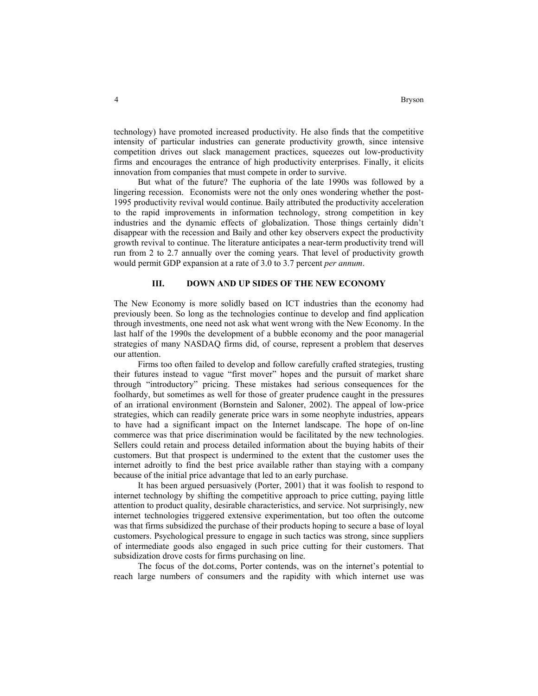technology) have promoted increased productivity. He also finds that the competitive intensity of particular industries can generate productivity growth, since intensive competition drives out slack management practices, squeezes out low-productivity firms and encourages the entrance of high productivity enterprises. Finally, it elicits innovation from companies that must compete in order to survive.

But what of the future? The euphoria of the late 1990s was followed by a lingering recession. Economists were not the only ones wondering whether the post-1995 productivity revival would continue. Baily attributed the productivity acceleration to the rapid improvements in information technology, strong competition in key industries and the dynamic effects of globalization. Those things certainly didn't disappear with the recession and Baily and other key observers expect the productivity growth revival to continue. The literature anticipates a near-term productivity trend will run from 2 to 2.7 annually over the coming years. That level of productivity growth would permit GDP expansion at a rate of 3.0 to 3.7 percent *per annum*.

### **III. DOWN AND UP SIDES OF THE NEW ECONOMY**

The New Economy is more solidly based on ICT industries than the economy had previously been. So long as the technologies continue to develop and find application through investments, one need not ask what went wrong with the New Economy. In the last half of the 1990s the development of a bubble economy and the poor managerial strategies of many NASDAQ firms did, of course, represent a problem that deserves our attention.

Firms too often failed to develop and follow carefully crafted strategies, trusting their futures instead to vague "first mover" hopes and the pursuit of market share through "introductory" pricing. These mistakes had serious consequences for the foolhardy, but sometimes as well for those of greater prudence caught in the pressures of an irrational environment (Bornstein and Saloner, 2002). The appeal of low-price strategies, which can readily generate price wars in some neophyte industries, appears to have had a significant impact on the Internet landscape. The hope of on-line commerce was that price discrimination would be facilitated by the new technologies. Sellers could retain and process detailed information about the buying habits of their customers. But that prospect is undermined to the extent that the customer uses the internet adroitly to find the best price available rather than staying with a company because of the initial price advantage that led to an early purchase.

It has been argued persuasively (Porter, 2001) that it was foolish to respond to internet technology by shifting the competitive approach to price cutting, paying little attention to product quality, desirable characteristics, and service. Not surprisingly, new internet technologies triggered extensive experimentation, but too often the outcome was that firms subsidized the purchase of their products hoping to secure a base of loyal customers. Psychological pressure to engage in such tactics was strong, since suppliers of intermediate goods also engaged in such price cutting for their customers. That subsidization drove costs for firms purchasing on line.

The focus of the dot.coms, Porter contends, was on the internet's potential to reach large numbers of consumers and the rapidity with which internet use was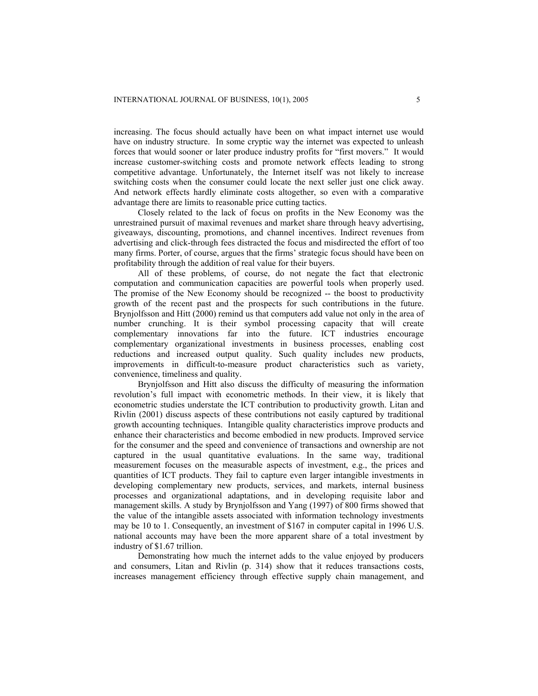increasing. The focus should actually have been on what impact internet use would have on industry structure. In some cryptic way the internet was expected to unleash forces that would sooner or later produce industry profits for "first movers." It would increase customer-switching costs and promote network effects leading to strong competitive advantage. Unfortunately, the Internet itself was not likely to increase switching costs when the consumer could locate the next seller just one click away. And network effects hardly eliminate costs altogether, so even with a comparative advantage there are limits to reasonable price cutting tactics.

Closely related to the lack of focus on profits in the New Economy was the unrestrained pursuit of maximal revenues and market share through heavy advertising, giveaways, discounting, promotions, and channel incentives. Indirect revenues from advertising and click-through fees distracted the focus and misdirected the effort of too many firms. Porter, of course, argues that the firms' strategic focus should have been on profitability through the addition of real value for their buyers.

All of these problems, of course, do not negate the fact that electronic computation and communication capacities are powerful tools when properly used. The promise of the New Economy should be recognized -- the boost to productivity growth of the recent past and the prospects for such contributions in the future. Brynjolfsson and Hitt (2000) remind us that computers add value not only in the area of number crunching. It is their symbol processing capacity that will create complementary innovations far into the future. ICT industries encourage complementary organizational investments in business processes, enabling cost reductions and increased output quality. Such quality includes new products, improvements in difficult-to-measure product characteristics such as variety, convenience, timeliness and quality.

Brynjolfsson and Hitt also discuss the difficulty of measuring the information revolution's full impact with econometric methods. In their view, it is likely that econometric studies understate the ICT contribution to productivity growth. Litan and Rivlin (2001) discuss aspects of these contributions not easily captured by traditional growth accounting techniques. Intangible quality characteristics improve products and enhance their characteristics and become embodied in new products. Improved service for the consumer and the speed and convenience of transactions and ownership are not captured in the usual quantitative evaluations. In the same way, traditional measurement focuses on the measurable aspects of investment, e.g., the prices and quantities of ICT products. They fail to capture even larger intangible investments in developing complementary new products, services, and markets, internal business processes and organizational adaptations, and in developing requisite labor and management skills. A study by Brynjolfsson and Yang (1997) of 800 firms showed that the value of the intangible assets associated with information technology investments may be 10 to 1. Consequently, an investment of \$167 in computer capital in 1996 U.S. national accounts may have been the more apparent share of a total investment by industry of \$1.67 trillion.

Demonstrating how much the internet adds to the value enjoyed by producers and consumers, Litan and Rivlin (p. 314) show that it reduces transactions costs, increases management efficiency through effective supply chain management, and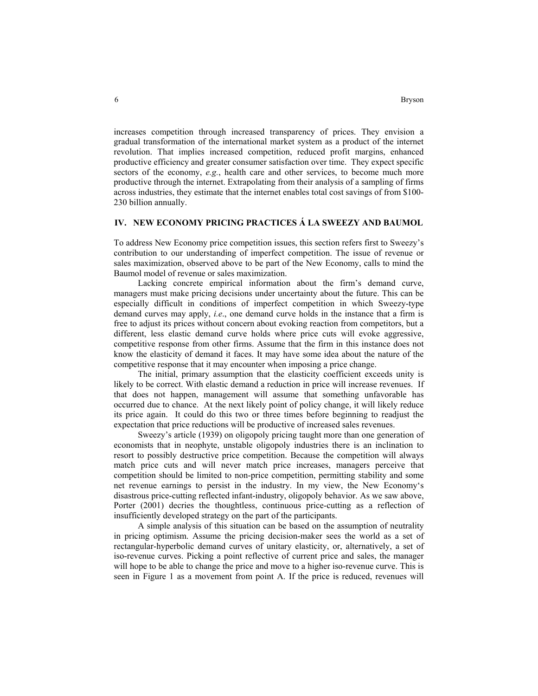increases competition through increased transparency of prices. They envision a gradual transformation of the international market system as a product of the internet revolution. That implies increased competition, reduced profit margins, enhanced productive efficiency and greater consumer satisfaction over time. They expect specific sectors of the economy, *e.g.*, health care and other services, to become much more productive through the internet. Extrapolating from their analysis of a sampling of firms across industries, they estimate that the internet enables total cost savings of from \$100- 230 billion annually.

# **IV. NEW ECONOMY PRICING PRACTICES Á LA SWEEZY AND BAUMOL**

To address New Economy price competition issues, this section refers first to Sweezy's contribution to our understanding of imperfect competition. The issue of revenue or sales maximization, observed above to be part of the New Economy, calls to mind the Baumol model of revenue or sales maximization.

Lacking concrete empirical information about the firm's demand curve, managers must make pricing decisions under uncertainty about the future. This can be especially difficult in conditions of imperfect competition in which Sweezy-type demand curves may apply, *i.e*., one demand curve holds in the instance that a firm is free to adjust its prices without concern about evoking reaction from competitors, but a different, less elastic demand curve holds where price cuts will evoke aggressive, competitive response from other firms. Assume that the firm in this instance does not know the elasticity of demand it faces. It may have some idea about the nature of the competitive response that it may encounter when imposing a price change.

The initial, primary assumption that the elasticity coefficient exceeds unity is likely to be correct. With elastic demand a reduction in price will increase revenues. If that does not happen, management will assume that something unfavorable has occurred due to chance. At the next likely point of policy change, it will likely reduce its price again. It could do this two or three times before beginning to readjust the expectation that price reductions will be productive of increased sales revenues.

Sweezy's article (1939) on oligopoly pricing taught more than one generation of economists that in neophyte, unstable oligopoly industries there is an inclination to resort to possibly destructive price competition. Because the competition will always match price cuts and will never match price increases, managers perceive that competition should be limited to non-price competition, permitting stability and some net revenue earnings to persist in the industry. In my view, the New Economy's disastrous price-cutting reflected infant-industry, oligopoly behavior. As we saw above, Porter (2001) decries the thoughtless, continuous price-cutting as a reflection of insufficiently developed strategy on the part of the participants.

A simple analysis of this situation can be based on the assumption of neutrality in pricing optimism. Assume the pricing decision-maker sees the world as a set of rectangular-hyperbolic demand curves of unitary elasticity, or, alternatively, a set of iso-revenue curves. Picking a point reflective of current price and sales, the manager will hope to be able to change the price and move to a higher iso-revenue curve. This is seen in Figure 1 as a movement from point A. If the price is reduced, revenues will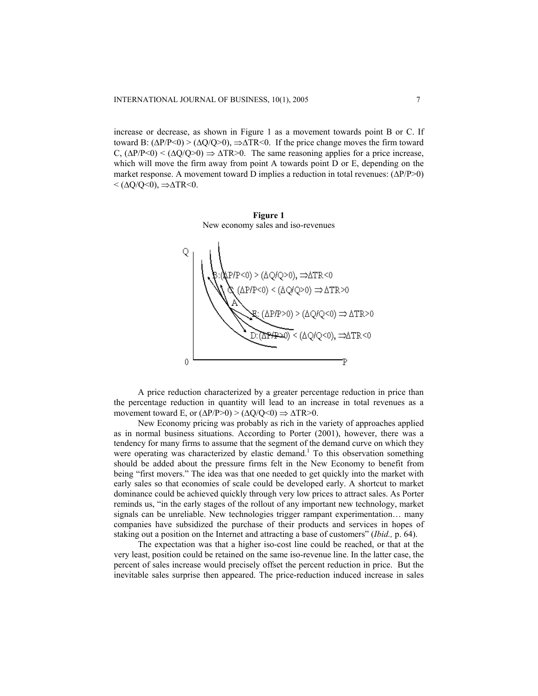increase or decrease, as shown in Figure 1 as a movement towards point B or C. If toward B:  $(\Delta P/P < 0) > (\Delta Q/Q > 0)$ ,  $\Rightarrow \Delta TR < 0$ . If the price change moves the firm toward C,  $(\Delta P/P < 0)$  <  $(\Delta Q/Q > 0)$  ⇒  $\Delta TR > 0$ . The same reasoning applies for a price increase, which will move the firm away from point A towards point D or E, depending on the market response. A movement toward D implies a reduction in total revenues: (∆P/P>0)  $<(\Delta Q/Q<0), \Rightarrow \Delta TR<0.$ 

**Figure 1**  New economy sales and iso-revenues



A price reduction characterized by a greater percentage reduction in price than the percentage reduction in quantity will lead to an increase in total revenues as a movement toward E, or  $(\Delta P/P>0) > (\Delta Q/Q<0) \Rightarrow \Delta TR>0$ .

New Economy pricing was probably as rich in the variety of approaches applied as in normal business situations. According to Porter (2001), however, there was a tendency for many firms to assume that the segment of the demand curve on which they were operating was characterized by elastic demand.<sup>1</sup> To this observation something should be added about the pressure firms felt in the New Economy to benefit from being "first movers." The idea was that one needed to get quickly into the market with early sales so that economies of scale could be developed early. A shortcut to market dominance could be achieved quickly through very low prices to attract sales. As Porter reminds us, "in the early stages of the rollout of any important new technology, market signals can be unreliable. New technologies trigger rampant experimentation… many companies have subsidized the purchase of their products and services in hopes of staking out a position on the Internet and attracting a base of customers" (*Ibid.,* p. 64).

The expectation was that a higher iso-cost line could be reached, or that at the very least, position could be retained on the same iso-revenue line. In the latter case, the percent of sales increase would precisely offset the percent reduction in price. But the inevitable sales surprise then appeared. The price-reduction induced increase in sales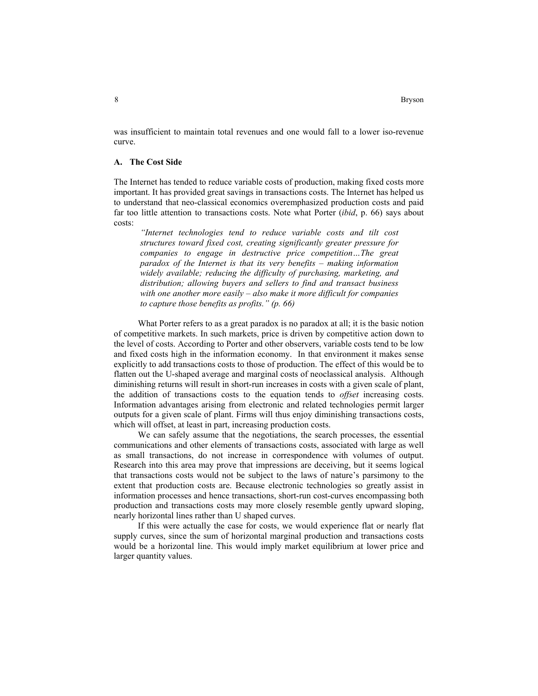was insufficient to maintain total revenues and one would fall to a lower iso-revenue curve.

# **A. The Cost Side**

The Internet has tended to reduce variable costs of production, making fixed costs more important. It has provided great savings in transactions costs. The Internet has helped us to understand that neo-classical economics overemphasized production costs and paid far too little attention to transactions costs. Note what Porter (*ibid*, p. 66) says about costs:

*"Internet technologies tend to reduce variable costs and tilt cost structures toward fixed cost, creating significantly greater pressure for companies to engage in destructive price competition…The great paradox of the Internet is that its very benefits – making information widely available; reducing the difficulty of purchasing, marketing, and distribution; allowing buyers and sellers to find and transact business with one another more easily – also make it more difficult for companies to capture those benefits as profits." (p. 66)* 

What Porter refers to as a great paradox is no paradox at all; it is the basic notion of competitive markets. In such markets, price is driven by competitive action down to the level of costs. According to Porter and other observers, variable costs tend to be low and fixed costs high in the information economy. In that environment it makes sense explicitly to add transactions costs to those of production. The effect of this would be to flatten out the U-shaped average and marginal costs of neoclassical analysis. Although diminishing returns will result in short-run increases in costs with a given scale of plant, the addition of transactions costs to the equation tends to *offset* increasing costs. Information advantages arising from electronic and related technologies permit larger outputs for a given scale of plant. Firms will thus enjoy diminishing transactions costs, which will offset, at least in part, increasing production costs.

We can safely assume that the negotiations, the search processes, the essential communications and other elements of transactions costs, associated with large as well as small transactions, do not increase in correspondence with volumes of output. Research into this area may prove that impressions are deceiving, but it seems logical that transactions costs would not be subject to the laws of nature's parsimony to the extent that production costs are. Because electronic technologies so greatly assist in information processes and hence transactions, short-run cost-curves encompassing both production and transactions costs may more closely resemble gently upward sloping, nearly horizontal lines rather than U shaped curves.

If this were actually the case for costs, we would experience flat or nearly flat supply curves, since the sum of horizontal marginal production and transactions costs would be a horizontal line. This would imply market equilibrium at lower price and larger quantity values.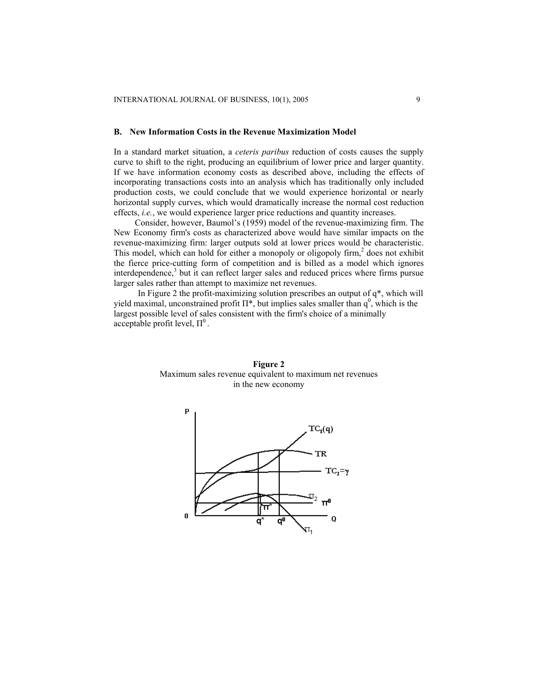### **B. New Information Costs in the Revenue Maximization Model**

In a standard market situation, a *ceteris paribus* reduction of costs causes the supply curve to shift to the right, producing an equilibrium of lower price and larger quantity. If we have information economy costs as described above, including the effects of incorporating transactions costs into an analysis which has traditionally only included production costs, we could conclude that we would experience horizontal or nearly horizontal supply curves, which would dramatically increase the normal cost reduction effects, *i.e.*, we would experience larger price reductions and quantity increases.

Consider, however, Baumol's (1959) model of the revenue-maximizing firm. The New Economy firm's costs as characterized above would have similar impacts on the revenue-maximizing firm: larger outputs sold at lower prices would be characteristic. This model, which can hold for either a monopoly or oligopoly firm,<sup>2</sup> does not exhibit the fierce price-cutting form of competition and is billed as a model which ignores interdependence,<sup>3</sup> but it can reflect larger sales and reduced prices where firms pursue larger sales rather than attempt to maximize net revenues.

In Figure 2 the profit-maximizing solution prescribes an output of  $q^*$ , which will yield maximal, unconstrained profit  $\Pi^*$ , but implies sales smaller than  $q^0$ , which is the largest possible level of sales consistent with the firm's choice of a minimally acceptable profit level,  $\Pi^0$ .



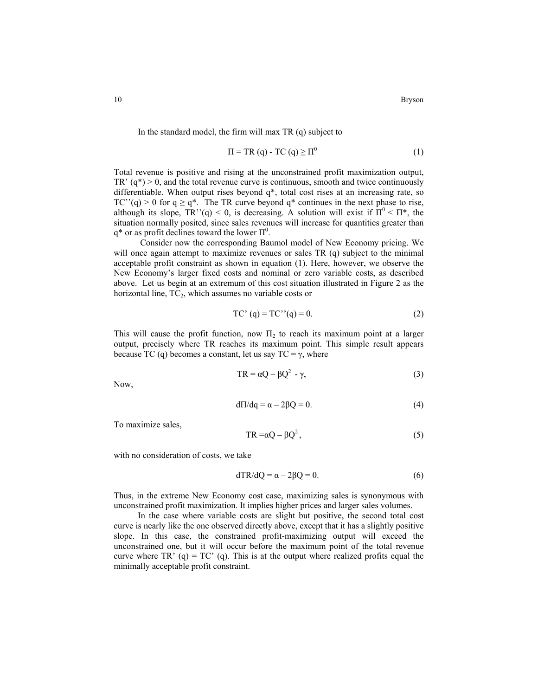In the standard model, the firm will max TR (q) subject to

$$
\Pi = TR(q) - TC(q) \ge \Pi^0 \tag{1}
$$

Total revenue is positive and rising at the unconstrained profit maximization output, TR'  $(q^*)$  > 0, and the total revenue curve is continuous, smooth and twice continuously differentiable. When output rises beyond  $q^*$ , total cost rises at an increasing rate, so TC''(q) > 0 for  $q \ge q^*$ . The TR curve beyond  $q^*$  continues in the next phase to rise, although its slope,  $TR''(q) < 0$ , is decreasing. A solution will exist if  $\Pi^0 < \Pi^*$ , the situation normally posited, since sales revenues will increase for quantities greater than q<sup>\*</sup> or as profit declines toward the lower  $\Pi^0$ .

Consider now the corresponding Baumol model of New Economy pricing. We will once again attempt to maximize revenues or sales TR (q) subject to the minimal acceptable profit constraint as shown in equation (1). Here, however, we observe the New Economy's larger fixed costs and nominal or zero variable costs, as described above. Let us begin at an extremum of this cost situation illustrated in Figure 2 as the horizontal line,  $TC_2$ , which assumes no variable costs or

$$
TC' (q) = TC''(q) = 0.
$$
 (2)

This will cause the profit function, now  $\Pi_2$  to reach its maximum point at a larger output, precisely where TR reaches its maximum point. This simple result appears because TC (q) becomes a constant, let us say  $TC = \gamma$ , where

$$
TR = \alpha Q - \beta Q^2 - \gamma,
$$
 (3)

Now,

$$
d\Pi/dq = \alpha - 2\beta Q = 0. \tag{4}
$$

To maximize sales,

$$
TR = \alpha Q - \beta Q^2, \qquad (5)
$$

with no consideration of costs, we take

$$
dTR/dQ = \alpha - 2\beta Q = 0. \tag{6}
$$

Thus, in the extreme New Economy cost case, maximizing sales is synonymous with unconstrained profit maximization. It implies higher prices and larger sales volumes.

In the case where variable costs are slight but positive, the second total cost curve is nearly like the one observed directly above, except that it has a slightly positive slope. In this case, the constrained profit-maximizing output will exceed the unconstrained one, but it will occur before the maximum point of the total revenue curve where TR' (q) =  $TC'$  (q). This is at the output where realized profits equal the minimally acceptable profit constraint.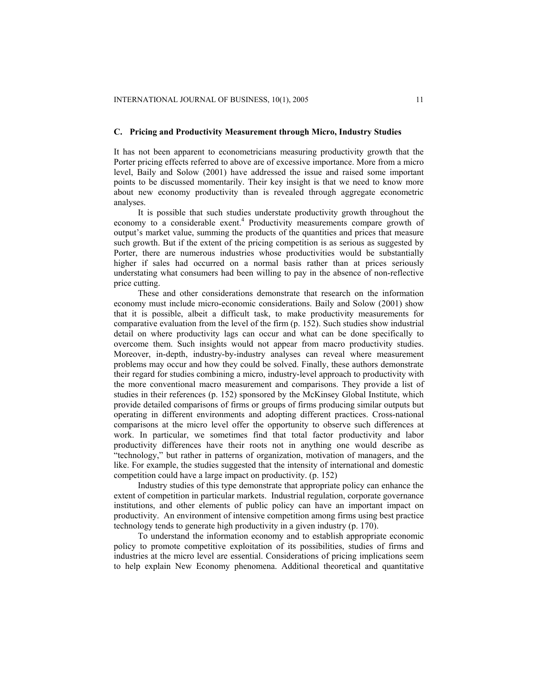### **C. Pricing and Productivity Measurement through Micro, Industry Studies**

It has not been apparent to econometricians measuring productivity growth that the Porter pricing effects referred to above are of excessive importance. More from a micro level, Baily and Solow (2001) have addressed the issue and raised some important points to be discussed momentarily. Their key insight is that we need to know more about new economy productivity than is revealed through aggregate econometric analyses.

It is possible that such studies understate productivity growth throughout the economy to a considerable exent.<sup>4</sup> Productivity measurements compare growth of output's market value, summing the products of the quantities and prices that measure such growth. But if the extent of the pricing competition is as serious as suggested by Porter, there are numerous industries whose productivities would be substantially higher if sales had occurred on a normal basis rather than at prices seriously understating what consumers had been willing to pay in the absence of non-reflective price cutting.

These and other considerations demonstrate that research on the information economy must include micro-economic considerations. Baily and Solow (2001) show that it is possible, albeit a difficult task, to make productivity measurements for comparative evaluation from the level of the firm (p. 152). Such studies show industrial detail on where productivity lags can occur and what can be done specifically to overcome them. Such insights would not appear from macro productivity studies. Moreover, in-depth, industry-by-industry analyses can reveal where measurement problems may occur and how they could be solved. Finally, these authors demonstrate their regard for studies combining a micro, industry-level approach to productivity with the more conventional macro measurement and comparisons. They provide a list of studies in their references (p. 152) sponsored by the McKinsey Global Institute, which provide detailed comparisons of firms or groups of firms producing similar outputs but operating in different environments and adopting different practices. Cross-national comparisons at the micro level offer the opportunity to observe such differences at work. In particular, we sometimes find that total factor productivity and labor productivity differences have their roots not in anything one would describe as "technology," but rather in patterns of organization, motivation of managers, and the like. For example, the studies suggested that the intensity of international and domestic competition could have a large impact on productivity. (p. 152)

Industry studies of this type demonstrate that appropriate policy can enhance the extent of competition in particular markets. Industrial regulation, corporate governance institutions, and other elements of public policy can have an important impact on productivity. An environment of intensive competition among firms using best practice technology tends to generate high productivity in a given industry (p. 170).

To understand the information economy and to establish appropriate economic policy to promote competitive exploitation of its possibilities, studies of firms and industries at the micro level are essential. Considerations of pricing implications seem to help explain New Economy phenomena. Additional theoretical and quantitative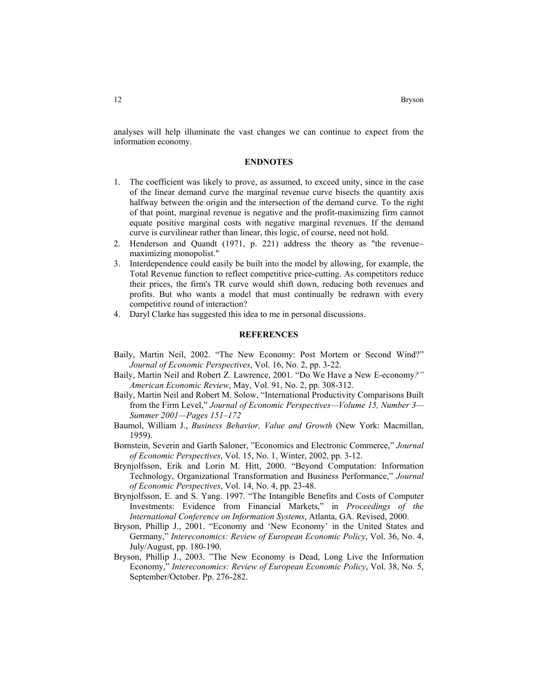analyses will help illuminate the vast changes we can continue to expect from the information economy.

### **ENDNOTES**

- 1. The coefficient was likely to prove, as assumed, to exceed unity, since in the case of the linear demand curve the marginal revenue curve bisects the quantity axis halfway between the origin and the intersection of the demand curve. To the right of that point, marginal revenue is negative and the profit-maximizing firm cannot equate positive marginal costs with negative marginal revenues. If the demand curve is curvilinear rather than linear, this logic, of course, need not hold.
- 2. Henderson and Quandt (1971, p. 221) address the theory as "the revenue− maximizing monopolist."
- 3. Interdependence could easily be built into the model by allowing, for example, the Total Revenue function to reflect competitive price-cutting. As competitors reduce their prices, the firm's TR curve would shift down, reducing both revenues and profits. But who wants a model that must continually be redrawn with every competitive round of interaction?
- 4. Daryl Clarke has suggested this idea to me in personal discussions.

## **REFERENCES**

- Baily, Martin Neil, 2002. "The New Economy: Post Mortem or Second Wind?" *Journal of Economic Perspectives*, Vol. 16, No. 2, pp. 3-22.
- Baily, Martin Neil and Robert Z. Lawrence, 2001. "Do We Have a New E-economy*?" American Economic Review*, May, Vol. 91, No. 2, pp. 308-312.
- Baily, Martin Neil and Robert M. Solow, "International Productivity Comparisons Built from the Firm Level," *Journal of Economic Perspectives—Volume 15, Number 3— Summer 2001—Pages 151–172*
- Baumol, William J., *Business Behavior, Value and Growth* (New York: Macmillan, 1959).
- Bornstein, Severin and Garth Saloner, "Economics and Electronic Commerce," *Journal of Economic Perspectives*, Vol. 15, No. 1, Winter, 2002, pp. 3-12.
- Brynjolfsson, Erik and Lorin M. Hitt, 2000. "Beyond Computation: Information Technology, Organizational Transformation and Business Performance," *Journal of Economic Perspectives*, Vol. 14, No. 4, pp. 23-48.
- Brynjolfsson, E. and S. Yang. 1997. "The Intangible Benefits and Costs of Computer Investments: Evidence from Financial Markets," in *Proceedings of the International Conference on Information Systems*, Atlanta, GA. Revised, 2000.
- Bryson, Phillip J., 2001. "Economy and 'New Economy' in the United States and Germany," *Intereconomics: Review of European Economic Policy*, Vol. 36, No. 4, July/August, pp. 180-190.
- Bryson, Phillip J., 2003. "The New Economy is Dead, Long Live the Information Economy," *Intereconomics: Review of European Economic Policy*, Vol. 38, No. 5, September/October. Pp. 276-282.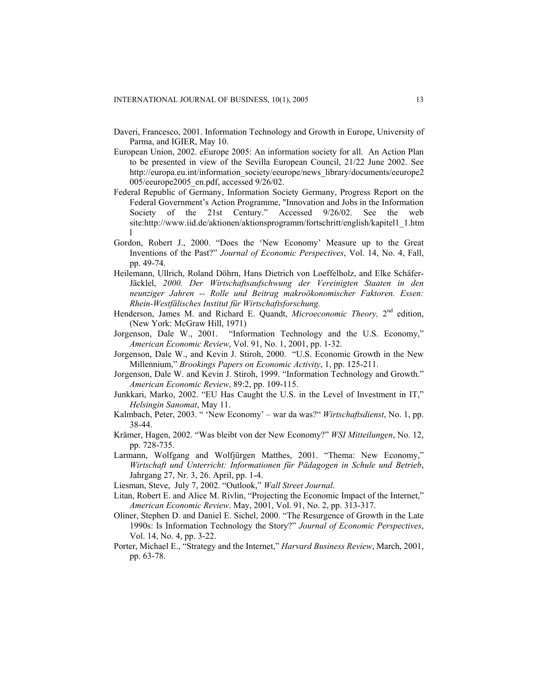- Daveri, Francesco, 2001. Information Technology and Growth in Europe, University of Parma, and IGIER, May 10.
- European Union, 2002. eEurope 2005: An information society for all. An Action Plan to be presented in view of the Sevilla European Council, 21/22 June 2002. See http://europa.eu.int/information\_society/eeurope/news\_library/documents/eeurope2 005/eeurope2005\_en.pdf, accessed 9/26/02.
- Federal Republic of Germany, Information Society Germany, Progress Report on the Federal Government's Action Programme, "Innovation and Jobs in the Information Society of the 21st Century." Accessed  $9/26/02$ . See the web site:http://www.iid.de/aktionen/aktionsprogramm/fortschritt/english/kapitel1\_1.htm l
- Gordon, Robert J., 2000. "Does the 'New Economy' Measure up to the Great Inventions of the Past?" *Journal of Economic Perspectives*, Vol. 14, No. 4, Fall, pp. 49-74.
- Heilemann, Ullrich, Roland Döhrn, Hans Dietrich von Loeffelholz, and Elke Schäfer-Jäcklel, *2000. Der Wirtschaftsaufschwung der Vereinigten Staaten in den neunziger Jahren -- Rolle und Beitrag makroökonomischer Faktoren. Essen: Rhein-Westfälisches Institut für Wirtschaftsforschung.*
- Henderson, James M. and Richard E. Quandt, *Microeconomic Theory*, 2<sup>nd</sup> edition, (New York: McGraw Hill, 1971)
- Jorgenson, Dale W., 2001. "Information Technology and the U.S. Economy," *American Economic Review*, Vol. 91, No. 1, 2001, pp. 1-32.
- Jorgenson, Dale W., and Kevin J. Stiroh, 2000. "U.S. Economic Growth in the New Millennium," *Brookings Papers on Economic Activity*, 1, pp. 125-211.
- Jorgenson, Dale W. and Kevin J. Stiroh, 1999. "Information Technology and Growth." *American Economic Review*, 89:2, pp. 109-115.
- Junkkari, Marko, 2002. "EU Has Caught the U.S. in the Level of Investment in IT," *Helsingin Sanomat*, May 11.
- Kalmbach, Peter, 2003. " 'New Economy' war da was?" *Wirtschaftsdienst*, No. 1, pp. 38-44.
- Krämer, Hagen, 2002. "Was bleibt von der New Economy?" *WSI Mitteilungen*, No. 12, pp. 728-735.
- Larmann, Wolfgang and Wolfjürgen Matthes, 2001. "Thema: New Economy," *Wirtschaft und Unterricht: Informationen für Pädagogen in Schule und Betrieb*, Jahrgang 27, Nr. 3, 26. April, pp. 1-4.
- Liesman, Steve, July 7, 2002. "Outlook," *Wall Street Journal*.
- Litan, Robert E. and Alice M. Rivlin, "Projecting the Economic Impact of the Internet," *American Economic Review*. May, 2001, Vol. 91, No. 2, pp. 313-317.
- Oliner, Stephen D. and Daniel E. Sichel, 2000. "The Resurgence of Growth in the Late 1990s: Is Information Technology the Story?" *Journal of Economic Perspectives*, Vol. 14, No. 4, pp. 3-22.
- Porter, Michael E., "Strategy and the Internet," *Harvard Business Review*, March, 2001, pp. 63-78.